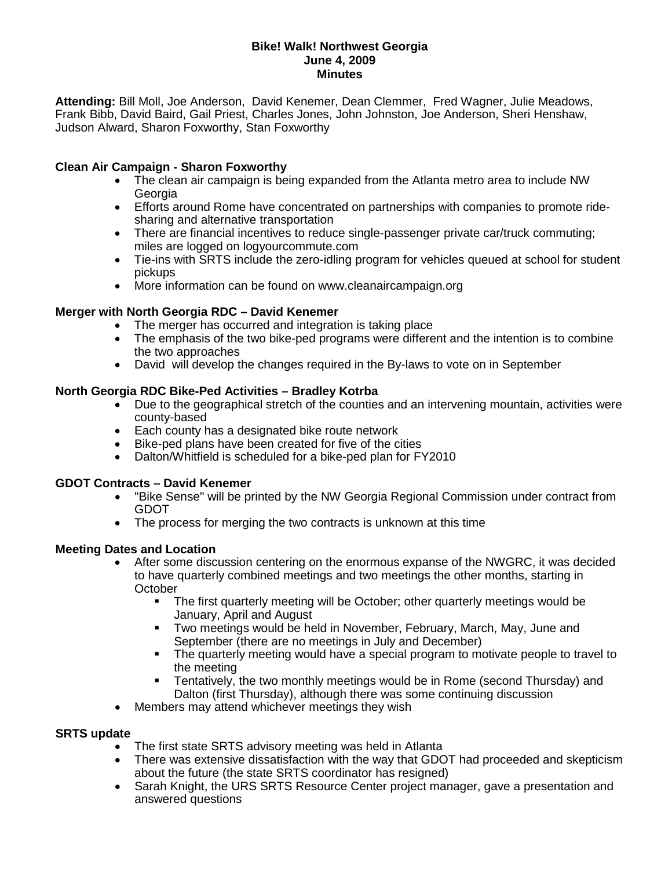### **Bike! Walk! Northwest Georgia June 4, 2009 Minutes**

**Attending:** Bill Moll, Joe Anderson, David Kenemer, Dean Clemmer, Fred Wagner, Julie Meadows, Frank Bibb, David Baird, Gail Priest, Charles Jones, John Johnston, Joe Anderson, Sheri Henshaw, Judson Alward, Sharon Foxworthy, Stan Foxworthy

### **Clean Air Campaign - Sharon Foxworthy**

- The clean air campaign is being expanded from the Atlanta metro area to include NW **Georgia**
- Efforts around Rome have concentrated on partnerships with companies to promote ridesharing and alternative transportation
- There are financial incentives to reduce single-passenger private car/truck commuting; miles are logged on logyourcommute.com
- Tie-ins with SRTS include the zero-idling program for vehicles queued at school for student pickups
- More information can be found on www.cleanaircampaign.org

### **Merger with North Georgia RDC – David Kenemer**

- The merger has occurred and integration is taking place
- The emphasis of the two bike-ped programs were different and the intention is to combine the two approaches
- David will develop the changes required in the By-laws to vote on in September

#### **North Georgia RDC Bike-Ped Activities – Bradley Kotrba**

- Due to the geographical stretch of the counties and an intervening mountain, activities were county-based
- Each county has a designated bike route network
- Bike-ped plans have been created for five of the cities
- Dalton/Whitfield is scheduled for a bike-ped plan for FY2010

#### **GDOT Contracts – David Kenemer**

- "Bike Sense" will be printed by the NW Georgia Regional Commission under contract from GDOT
- The process for merging the two contracts is unknown at this time

#### **Meeting Dates and Location**

- After some discussion centering on the enormous expanse of the NWGRC, it was decided to have quarterly combined meetings and two meetings the other months, starting in **October** 
	- The first quarterly meeting will be October; other quarterly meetings would be January, April and August
	- Two meetings would be held in November, February, March, May, June and September (there are no meetings in July and December)
	- The quarterly meeting would have a special program to motivate people to travel to the meeting
	- Tentatively, the two monthly meetings would be in Rome (second Thursday) and Dalton (first Thursday), although there was some continuing discussion
- Members may attend whichever meetings they wish

#### **SRTS update**

- The first state SRTS advisory meeting was held in Atlanta
- There was extensive dissatisfaction with the way that GDOT had proceeded and skepticism about the future (the state SRTS coordinator has resigned)
- Sarah Knight, the URS SRTS Resource Center project manager, gave a presentation and answered questions